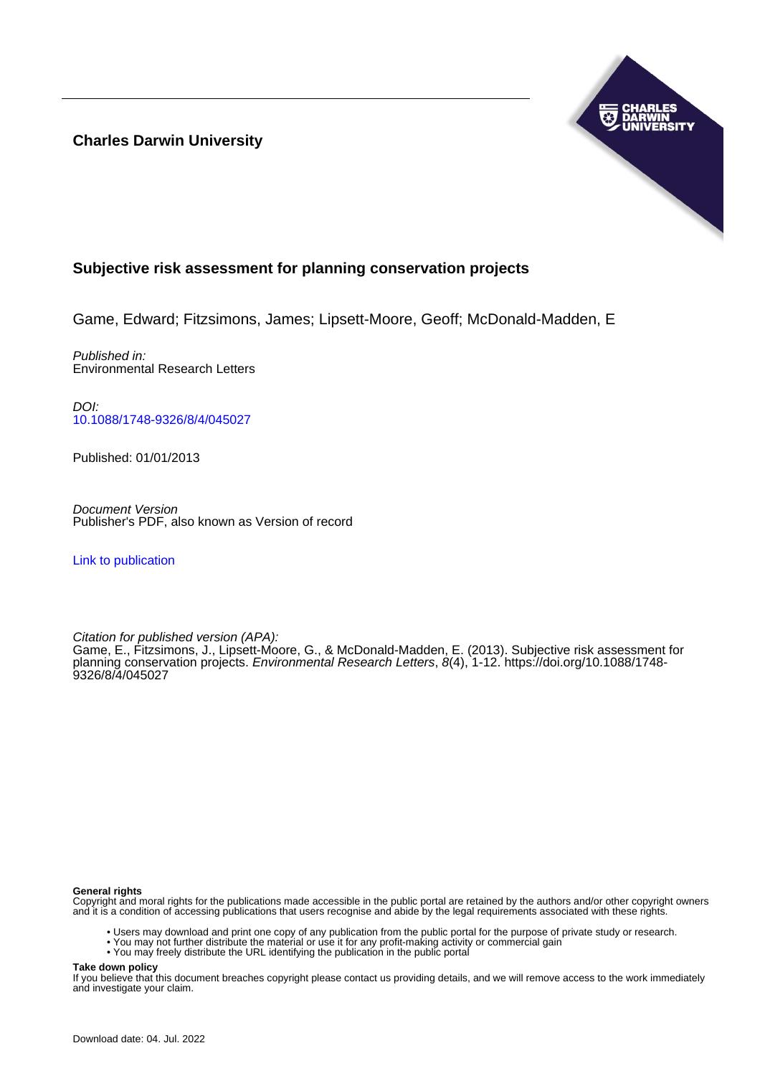**Charles Darwin University**



# **Subjective risk assessment for planning conservation projects**

Game, Edward; Fitzsimons, James; Lipsett-Moore, Geoff; McDonald-Madden, E

Published in: Environmental Research Letters

DOI: [10.1088/1748-9326/8/4/045027](https://doi.org/10.1088/1748-9326/8/4/045027)

Published: 01/01/2013

Document Version Publisher's PDF, also known as Version of record

[Link to publication](https://researchers.cdu.edu.au/en/publications/4cd80005-a7f3-44cf-a7f4-337de207d8e8)

Citation for published version (APA):

Game, E., Fitzsimons, J., Lipsett-Moore, G., & McDonald-Madden, E. (2013). Subjective risk assessment for planning conservation projects. Environmental Research Letters, 8(4), 1-12. [https://doi.org/10.1088/1748-](https://doi.org/10.1088/1748-9326/8/4/045027) [9326/8/4/045027](https://doi.org/10.1088/1748-9326/8/4/045027)

#### **General rights**

Copyright and moral rights for the publications made accessible in the public portal are retained by the authors and/or other copyright owners and it is a condition of accessing publications that users recognise and abide by the legal requirements associated with these rights.

- Users may download and print one copy of any publication from the public portal for the purpose of private study or research.
- You may not further distribute the material or use it for any profit-making activity or commercial gain
- You may freely distribute the URL identifying the publication in the public portal

**Take down policy**

If you believe that this document breaches copyright please contact us providing details, and we will remove access to the work immediately and investigate your claim.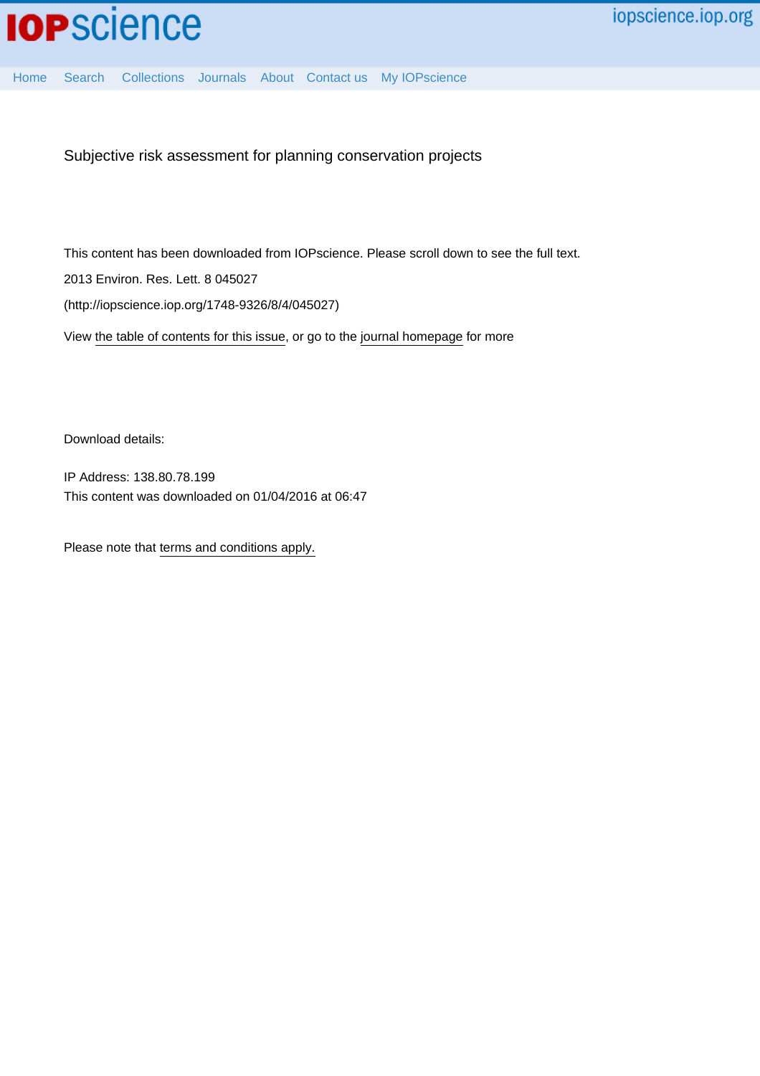

[Home](http://iopscience.iop.org/) [Search](http://iopscience.iop.org/search) [Collections](http://iopscience.iop.org/collections) [Journals](http://iopscience.iop.org/journals) [About](http://iopscience.iop.org/page/aboutioppublishing) [Contact us](http://iopscience.iop.org/contact) [My IOPscience](http://iopscience.iop.org/myiopscience)

Subjective risk assessment for planning conservation projects

This content has been downloaded from IOPscience. Please scroll down to see the full text. 2013 Environ. Res. Lett. 8 045027 (http://iopscience.iop.org/1748-9326/8/4/045027)

View [the table of contents for this issue](http://iopscience.iop.org/1748-9326/8/4), or go to the [journal homepage](http://iopscience.iop.org/1748-9326) for more

Download details:

IP Address: 138.80.78.199 This content was downloaded on 01/04/2016 at 06:47

Please note that [terms and conditions apply.](iopscience.iop.org/page/terms)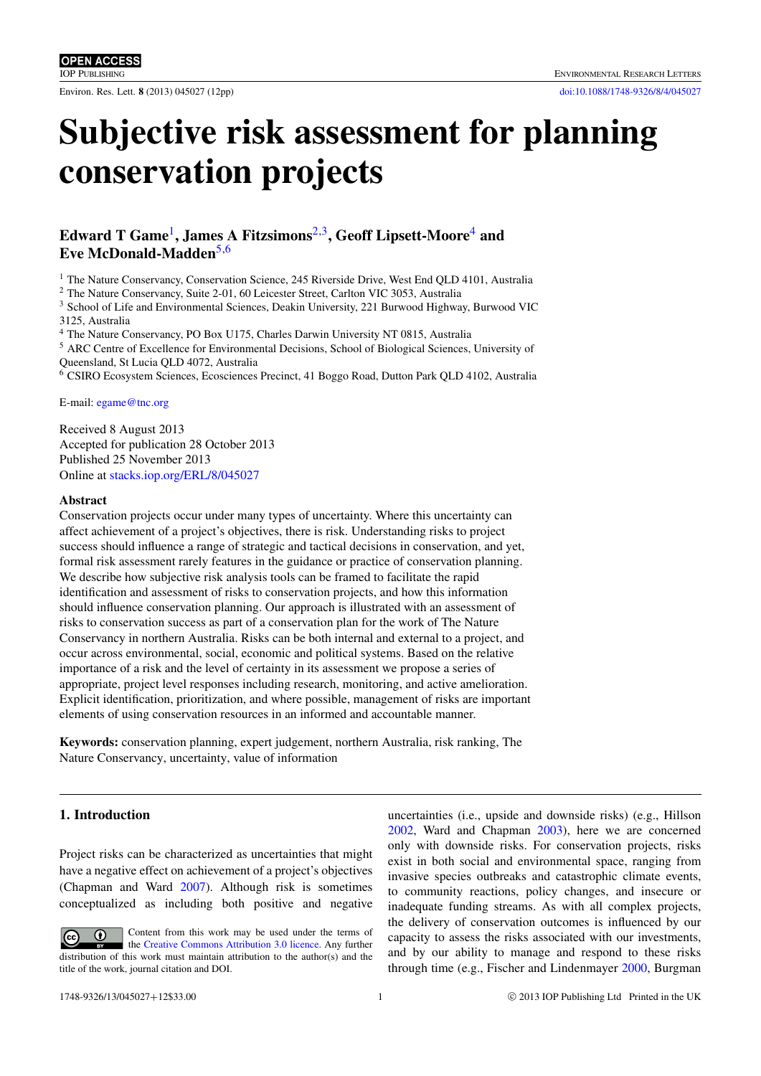title of the work, journal citation and DOI.

Content from this work may be used under the terms of the [Creative Commons Attribution 3.0 licence.](http://creativecommons.org/licenses/by/3.0) Any further

[2002,](#page-12-1) Ward and Chapman [2003\)](#page-13-0), here we are concerned only with downside risks. For conservation projects, risks exist in both social and environmental space, ranging from invasive species outbreaks and catastrophic climate events, to community reactions, policy changes, and insecure or inadequate funding streams. As with all complex projects, the delivery of conservation outcomes is influenced by our capacity to assess the risks associated with our investments, and by our ability to manage and respond to these risks through time (e.g., Fischer and Lindenmayer [2000,](#page-12-2) Burgman

uncertainties (i.e., upside and downside risks) (e.g., Hillson

# Subjective risk assessment for planning conservation projects

# Edward T Game<sup>[1](#page-2-0)</sup>, James A Fitzsimons<sup>[2](#page-2-1)[,3](#page-2-2)</sup>, Geoff Lipsett-Moore<sup>[4](#page-2-3)</sup> and Eve McDonald-Madden<sup>[5](#page-2-4)[,6](#page-2-5)</sup>

<span id="page-2-0"></span><sup>1</sup> The Nature Conservancy, Conservation Science, 245 Riverside Drive, West End OLD 4101, Australia

<span id="page-2-1"></span><sup>2</sup> The Nature Conservancy, Suite 2-01, 60 Leicester Street, Carlton VIC 3053, Australia

<span id="page-2-2"></span><sup>3</sup> School of Life and Environmental Sciences, Deakin University, 221 Burwood Highway, Burwood VIC 3125, Australia

<span id="page-2-3"></span><sup>4</sup> The Nature Conservancy, PO Box U175, Charles Darwin University NT 0815, Australia

<span id="page-2-4"></span><sup>5</sup> ARC Centre of Excellence for Environmental Decisions, School of Biological Sciences, University of Queensland, St Lucia QLD 4072, Australia

<span id="page-2-5"></span><sup>6</sup> CSIRO Ecosystem Sciences, Ecosciences Precinct, 41 Boggo Road, Dutton Park QLD 4102, Australia

E-mail: [egame@tnc.org](mailto:egame@tnc.org)

Received 8 August 2013 Accepted for publication 28 October 2013 Published 25 November 2013 Online at [stacks.iop.org/ERL/8/045027](http://stacks.iop.org/ERL/8/045027)

## Abstract

Conservation projects occur under many types of uncertainty. Where this uncertainty can affect achievement of a project's objectives, there is risk. Understanding risks to project success should influence a range of strategic and tactical decisions in conservation, and yet, formal risk assessment rarely features in the guidance or practice of conservation planning. We describe how subjective risk analysis tools can be framed to facilitate the rapid identification and assessment of risks to conservation projects, and how this information should influence conservation planning. Our approach is illustrated with an assessment of risks to conservation success as part of a conservation plan for the work of The Nature Conservancy in northern Australia. Risks can be both internal and external to a project, and occur across environmental, social, economic and political systems. Based on the relative importance of a risk and the level of certainty in its assessment we propose a series of appropriate, project level responses including research, monitoring, and active amelioration. Explicit identification, prioritization, and where possible, management of risks are important elements of using conservation resources in an informed and accountable manner.

Keywords: conservation planning, expert judgement, northern Australia, risk ranking, The Nature Conservancy, uncertainty, value of information

## <span id="page-2-6"></span>1. Introduction

 $\odot$ 

Project risks can be characterized as uncertainties that might have a negative effect on achievement of a project's objectives (Chapman and Ward [2007\)](#page-12-0). Although risk is sometimes conceptualized as including both positive and negative

distribution of this work must maintain attribution to the author(s) and the

Environ. Res. Lett. 8 (2013) 045027 (12pp) [doi:10.1088/1748-9326/8/4/045027](http://dx.doi.org/10.1088/1748-9326/8/4/045027)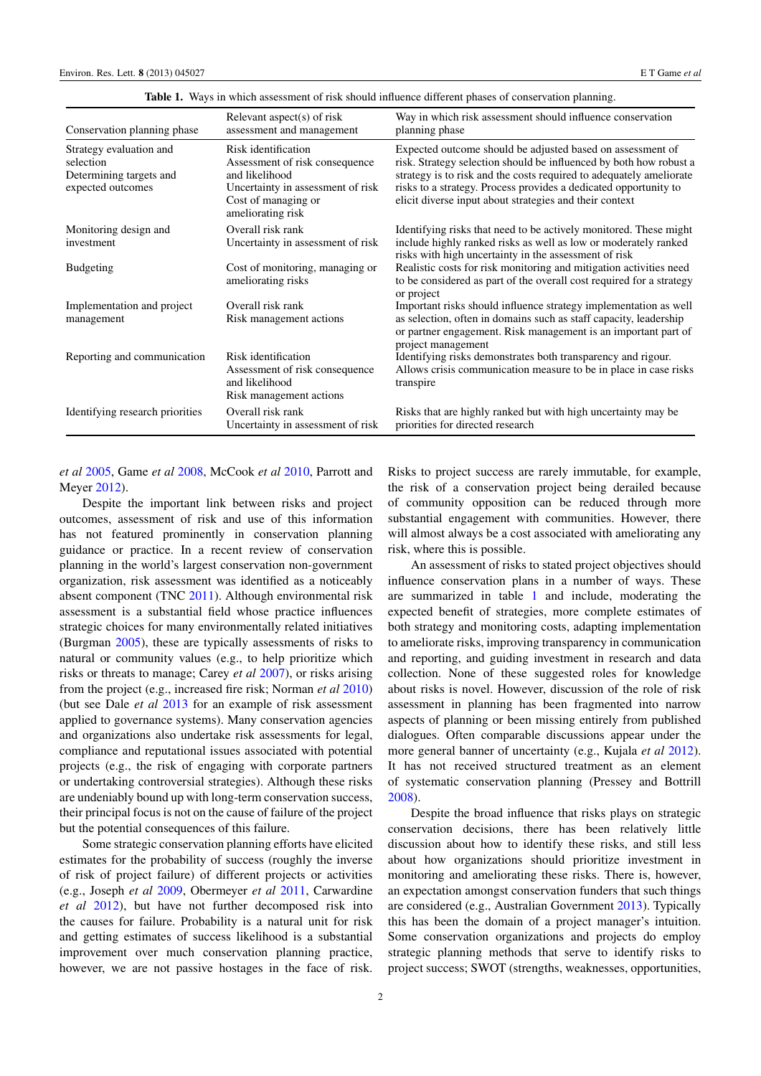<span id="page-3-0"></span>

| Conservation planning phase                                                          | Relevant aspect(s) of risk<br>assessment and management                                                                                                  | Way in which risk assessment should influence conservation<br>planning phase                                                                                                                                                                                                                                                           |
|--------------------------------------------------------------------------------------|----------------------------------------------------------------------------------------------------------------------------------------------------------|----------------------------------------------------------------------------------------------------------------------------------------------------------------------------------------------------------------------------------------------------------------------------------------------------------------------------------------|
| Strategy evaluation and<br>selection<br>Determining targets and<br>expected outcomes | Risk identification<br>Assessment of risk consequence<br>and likelihood<br>Uncertainty in assessment of risk<br>Cost of managing or<br>ameliorating risk | Expected outcome should be adjusted based on assessment of<br>risk. Strategy selection should be influenced by both how robust a<br>strategy is to risk and the costs required to adequately ameliorate<br>risks to a strategy. Process provides a dedicated opportunity to<br>elicit diverse input about strategies and their context |
| Monitoring design and<br>investment                                                  | Overall risk rank<br>Uncertainty in assessment of risk                                                                                                   | Identifying risks that need to be actively monitored. These might<br>include highly ranked risks as well as low or moderately ranked<br>risks with high uncertainty in the assessment of risk                                                                                                                                          |
| <b>Budgeting</b>                                                                     | Cost of monitoring, managing or<br>ameliorating risks                                                                                                    | Realistic costs for risk monitoring and mitigation activities need<br>to be considered as part of the overall cost required for a strategy<br>or project                                                                                                                                                                               |
| Implementation and project<br>management                                             | Overall risk rank<br>Risk management actions                                                                                                             | Important risks should influence strategy implementation as well<br>as selection, often in domains such as staff capacity, leadership<br>or partner engagement. Risk management is an important part of<br>project management                                                                                                          |
| Reporting and communication                                                          | Risk identification<br>Assessment of risk consequence<br>and likelihood<br>Risk management actions                                                       | Identifying risks demonstrates both transparency and rigour.<br>Allows crisis communication measure to be in place in case risks<br>transpire                                                                                                                                                                                          |
| Identifying research priorities                                                      | Overall risk rank<br>Uncertainty in assessment of risk                                                                                                   | Risks that are highly ranked but with high uncertainty may be<br>priorities for directed research                                                                                                                                                                                                                                      |

Table 1. Ways in which assessment of risk should influence different phases of conservation planning.

*et al* [2005,](#page-12-3) Game *et al* [2008,](#page-12-4) McCook *et al* [2010,](#page-12-5) Parrott and Meyer [2012\)](#page-12-6).

Despite the important link between risks and project outcomes, assessment of risk and use of this information has not featured prominently in conservation planning guidance or practice. In a recent review of conservation planning in the world's largest conservation non-government organization, risk assessment was identified as a noticeably absent component (TNC [2011\)](#page-13-1). Although environmental risk assessment is a substantial field whose practice influences strategic choices for many environmentally related initiatives (Burgman [2005\)](#page-12-7), these are typically assessments of risks to natural or community values (e.g., to help prioritize which risks or threats to manage; Carey *et al* [2007\)](#page-12-8), or risks arising from the project (e.g., increased fire risk; Norman *et al* [2010\)](#page-12-9) (but see Dale *et al* [2013](#page-12-10) for an example of risk assessment applied to governance systems). Many conservation agencies and organizations also undertake risk assessments for legal, compliance and reputational issues associated with potential projects (e.g., the risk of engaging with corporate partners or undertaking controversial strategies). Although these risks are undeniably bound up with long-term conservation success, their principal focus is not on the cause of failure of the project but the potential consequences of this failure.

Some strategic conservation planning efforts have elicited estimates for the probability of success (roughly the inverse of risk of project failure) of different projects or activities (e.g., Joseph *et al* [2009,](#page-12-11) Obermeyer *et al* [2011,](#page-12-12) Carwardine *et al* [2012\)](#page-12-13), but have not further decomposed risk into the causes for failure. Probability is a natural unit for risk and getting estimates of success likelihood is a substantial improvement over much conservation planning practice, however, we are not passive hostages in the face of risk.

Risks to project success are rarely immutable, for example, the risk of a conservation project being derailed because of community opposition can be reduced through more substantial engagement with communities. However, there will almost always be a cost associated with ameliorating any risk, where this is possible.

An assessment of risks to stated project objectives should influence conservation plans in a number of ways. These are summarized in table [1](#page-3-0) and include, moderating the expected benefit of strategies, more complete estimates of both strategy and monitoring costs, adapting implementation to ameliorate risks, improving transparency in communication and reporting, and guiding investment in research and data collection. None of these suggested roles for knowledge about risks is novel. However, discussion of the role of risk assessment in planning has been fragmented into narrow aspects of planning or been missing entirely from published dialogues. Often comparable discussions appear under the more general banner of uncertainty (e.g., Kujala *et al* [2012\)](#page-12-14). It has not received structured treatment as an element of systematic conservation planning (Pressey and Bottrill [2008\)](#page-12-15).

Despite the broad influence that risks plays on strategic conservation decisions, there has been relatively little discussion about how to identify these risks, and still less about how organizations should prioritize investment in monitoring and ameliorating these risks. There is, however, an expectation amongst conservation funders that such things are considered (e.g., Australian Government [2013\)](#page-12-16). Typically this has been the domain of a project manager's intuition. Some conservation organizations and projects do employ strategic planning methods that serve to identify risks to project success; SWOT (strengths, weaknesses, opportunities,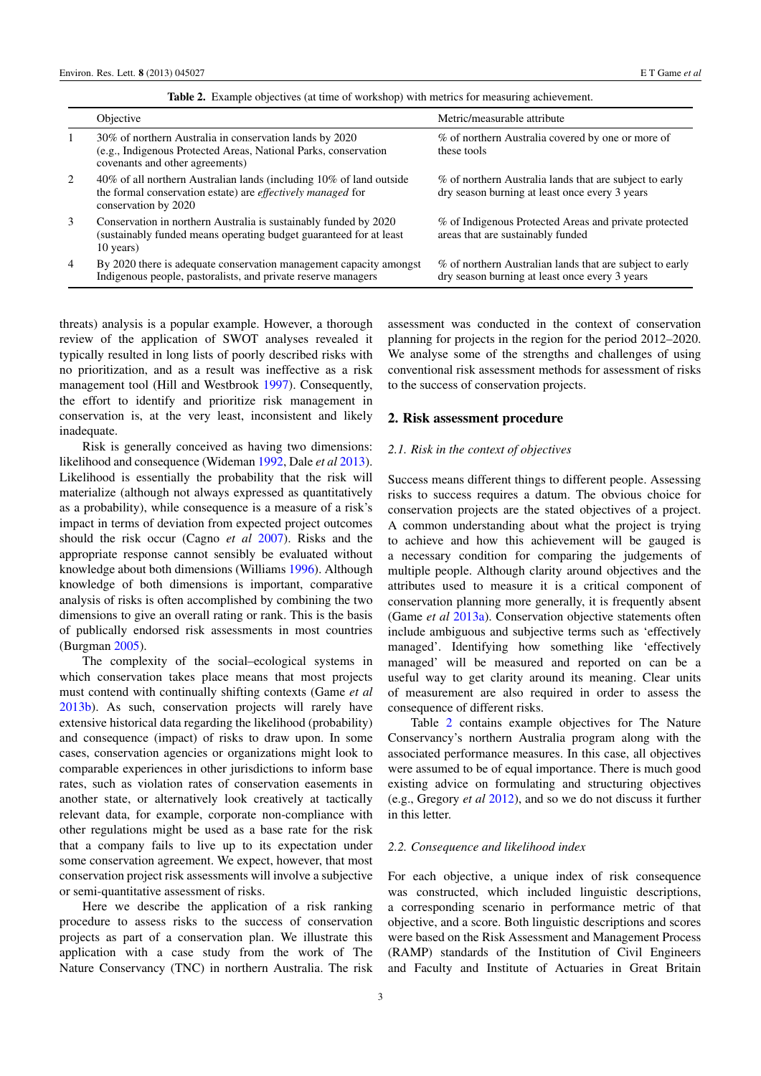<span id="page-4-0"></span>

|                | Objective                                                                                                                                                               | Metric/measurable attribute                                                                                |
|----------------|-------------------------------------------------------------------------------------------------------------------------------------------------------------------------|------------------------------------------------------------------------------------------------------------|
| 1              | 30% of northern Australia in conservation lands by 2020<br>(e.g., Indigenous Protected Areas, National Parks, conservation<br>covenants and other agreements)           | % of northern Australia covered by one or more of<br>these tools                                           |
| 2              | $40\%$ of all northern Australian lands (including $10\%$ of land outside<br>the formal conservation estate) are <i>effectively managed</i> for<br>conservation by 2020 | % of northern Australia lands that are subject to early<br>dry season burning at least once every 3 years  |
| 3              | Conservation in northern Australia is sustainably funded by 2020<br>(sustainably funded means operating budget guaranteed for at least<br>10 years)                     | % of Indigenous Protected Areas and private protected<br>areas that are sustainably funded                 |
| $\overline{4}$ | By 2020 there is adequate conservation management capacity amongst<br>Indigenous people, pastoralists, and private reserve managers                                     | % of northern Australian lands that are subject to early<br>dry season burning at least once every 3 years |

Table 2. Example objectives (at time of workshop) with metrics for measuring achievement.

threats) analysis is a popular example. However, a thorough review of the application of SWOT analyses revealed it typically resulted in long lists of poorly described risks with no prioritization, and as a result was ineffective as a risk management tool (Hill and Westbrook [1997\)](#page-12-17). Consequently, the effort to identify and prioritize risk management in conservation is, at the very least, inconsistent and likely inadequate.

Risk is generally conceived as having two dimensions: likelihood and consequence (Wideman [1992,](#page-13-2) Dale *et al* [2013\)](#page-12-10). Likelihood is essentially the probability that the risk will materialize (although not always expressed as quantitatively as a probability), while consequence is a measure of a risk's impact in terms of deviation from expected project outcomes should the risk occur (Cagno *et al* [2007\)](#page-12-18). Risks and the appropriate response cannot sensibly be evaluated without knowledge about both dimensions (Williams [1996\)](#page-13-3). Although knowledge of both dimensions is important, comparative analysis of risks is often accomplished by combining the two dimensions to give an overall rating or rank. This is the basis of publically endorsed risk assessments in most countries (Burgman [2005\)](#page-12-7).

The complexity of the social–ecological systems in which conservation takes place means that most projects must contend with continually shifting contexts (Game *et al* [2013b\)](#page-12-19). As such, conservation projects will rarely have extensive historical data regarding the likelihood (probability) and consequence (impact) of risks to draw upon. In some cases, conservation agencies or organizations might look to comparable experiences in other jurisdictions to inform base rates, such as violation rates of conservation easements in another state, or alternatively look creatively at tactically relevant data, for example, corporate non-compliance with other regulations might be used as a base rate for the risk that a company fails to live up to its expectation under some conservation agreement. We expect, however, that most conservation project risk assessments will involve a subjective or semi-quantitative assessment of risks.

Here we describe the application of a risk ranking procedure to assess risks to the success of conservation projects as part of a conservation plan. We illustrate this application with a case study from the work of The Nature Conservancy (TNC) in northern Australia. The risk assessment was conducted in the context of conservation planning for projects in the region for the period 2012–2020. We analyse some of the strengths and challenges of using conventional risk assessment methods for assessment of risks to the success of conservation projects.

#### 2. Risk assessment procedure

#### *2.1. Risk in the context of objectives*

Success means different things to different people. Assessing risks to success requires a datum. The obvious choice for conservation projects are the stated objectives of a project. A common understanding about what the project is trying to achieve and how this achievement will be gauged is a necessary condition for comparing the judgements of multiple people. Although clarity around objectives and the attributes used to measure it is a critical component of conservation planning more generally, it is frequently absent (Game *et al* [2013a\)](#page-12-20). Conservation objective statements often include ambiguous and subjective terms such as 'effectively managed'. Identifying how something like 'effectively managed' will be measured and reported on can be a useful way to get clarity around its meaning. Clear units of measurement are also required in order to assess the consequence of different risks.

Table [2](#page-4-0) contains example objectives for The Nature Conservancy's northern Australia program along with the associated performance measures. In this case, all objectives were assumed to be of equal importance. There is much good existing advice on formulating and structuring objectives (e.g., Gregory *et al* [2012\)](#page-12-21), and so we do not discuss it further in this letter.

#### *2.2. Consequence and likelihood index*

For each objective, a unique index of risk consequence was constructed, which included linguistic descriptions, a corresponding scenario in performance metric of that objective, and a score. Both linguistic descriptions and scores were based on the Risk Assessment and Management Process (RAMP) standards of the Institution of Civil Engineers and Faculty and Institute of Actuaries in Great Britain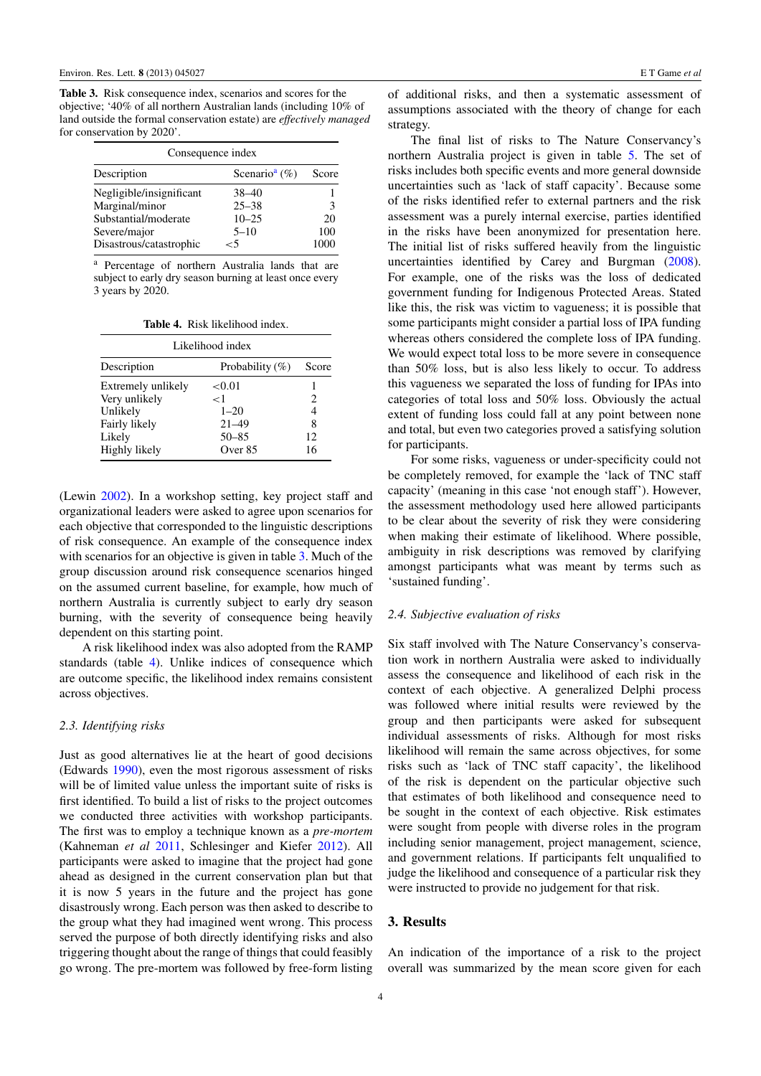<span id="page-5-1"></span>Table 3. Risk consequence index, scenarios and scores for the objective; '40% of all northern Australian lands (including 10% of land outside the formal conservation estate) are *effectively managed* for conservation by 2020'.

| Consequence index        |                           |       |  |  |  |
|--------------------------|---------------------------|-------|--|--|--|
| Description              | Scenario <sup>a</sup> (%) | Score |  |  |  |
| Negligible/insignificant | $38 - 40$                 |       |  |  |  |
| Marginal/minor           | $25 - 38$                 | 3     |  |  |  |
| Substantial/moderate     | $10 - 25$                 | 20    |  |  |  |
| Severe/major             | $5 - 10$                  | 100   |  |  |  |
| Disastrous/catastrophic  | -5                        | 1000  |  |  |  |

<span id="page-5-0"></span><sup>a</sup> Percentage of northern Australia lands that are subject to early dry season burning at least once every 3 years by 2020.

Table 4. Risk likelihood index.

<span id="page-5-2"></span>

| Likelihood index   |                    |       |  |  |
|--------------------|--------------------|-------|--|--|
| Description        | Probability $(\%)$ | Score |  |  |
| Extremely unlikely | < 0.01             |       |  |  |
| Very unlikely      | ا >                | 2     |  |  |
| Unlikely           | $1 - 20$           | 4     |  |  |
| Fairly likely      | $21 - 49$          | 8     |  |  |
| Likely             | $50 - 85$          | 12    |  |  |
| Highly likely      | Over 85            | 16    |  |  |

(Lewin [2002\)](#page-12-22). In a workshop setting, key project staff and organizational leaders were asked to agree upon scenarios for each objective that corresponded to the linguistic descriptions of risk consequence. An example of the consequence index with scenarios for an objective is given in table [3.](#page-5-1) Much of the group discussion around risk consequence scenarios hinged on the assumed current baseline, for example, how much of northern Australia is currently subject to early dry season burning, with the severity of consequence being heavily dependent on this starting point.

A risk likelihood index was also adopted from the RAMP standards (table [4\)](#page-5-2). Unlike indices of consequence which are outcome specific, the likelihood index remains consistent across objectives.

#### *2.3. Identifying risks*

Just as good alternatives lie at the heart of good decisions (Edwards [1990\)](#page-12-23), even the most rigorous assessment of risks will be of limited value unless the important suite of risks is first identified. To build a list of risks to the project outcomes we conducted three activities with workshop participants. The first was to employ a technique known as a *pre-mortem* (Kahneman *et al* [2011,](#page-12-24) Schlesinger and Kiefer [2012\)](#page-12-25). All participants were asked to imagine that the project had gone ahead as designed in the current conservation plan but that it is now 5 years in the future and the project has gone disastrously wrong. Each person was then asked to describe to the group what they had imagined went wrong. This process served the purpose of both directly identifying risks and also triggering thought about the range of things that could feasibly go wrong. The pre-mortem was followed by free-form listing

of additional risks, and then a systematic assessment of assumptions associated with the theory of change for each strategy.

The final list of risks to The Nature Conservancy's northern Australia project is given in table [5.](#page-6-0) The set of risks includes both specific events and more general downside uncertainties such as 'lack of staff capacity'. Because some of the risks identified refer to external partners and the risk assessment was a purely internal exercise, parties identified in the risks have been anonymized for presentation here. The initial list of risks suffered heavily from the linguistic uncertainties identified by Carey and Burgman [\(2008\)](#page-12-26). For example, one of the risks was the loss of dedicated government funding for Indigenous Protected Areas. Stated like this, the risk was victim to vagueness; it is possible that some participants might consider a partial loss of IPA funding whereas others considered the complete loss of IPA funding. We would expect total loss to be more severe in consequence than 50% loss, but is also less likely to occur. To address this vagueness we separated the loss of funding for IPAs into categories of total loss and 50% loss. Obviously the actual extent of funding loss could fall at any point between none and total, but even two categories proved a satisfying solution for participants.

For some risks, vagueness or under-specificity could not be completely removed, for example the 'lack of TNC staff capacity' (meaning in this case 'not enough staff'). However, the assessment methodology used here allowed participants to be clear about the severity of risk they were considering when making their estimate of likelihood. Where possible, ambiguity in risk descriptions was removed by clarifying amongst participants what was meant by terms such as 'sustained funding'.

#### *2.4. Subjective evaluation of risks*

Six staff involved with The Nature Conservancy's conservation work in northern Australia were asked to individually assess the consequence and likelihood of each risk in the context of each objective. A generalized Delphi process was followed where initial results were reviewed by the group and then participants were asked for subsequent individual assessments of risks. Although for most risks likelihood will remain the same across objectives, for some risks such as 'lack of TNC staff capacity', the likelihood of the risk is dependent on the particular objective such that estimates of both likelihood and consequence need to be sought in the context of each objective. Risk estimates were sought from people with diverse roles in the program including senior management, project management, science, and government relations. If participants felt unqualified to judge the likelihood and consequence of a particular risk they were instructed to provide no judgement for that risk.

### 3. Results

An indication of the importance of a risk to the project overall was summarized by the mean score given for each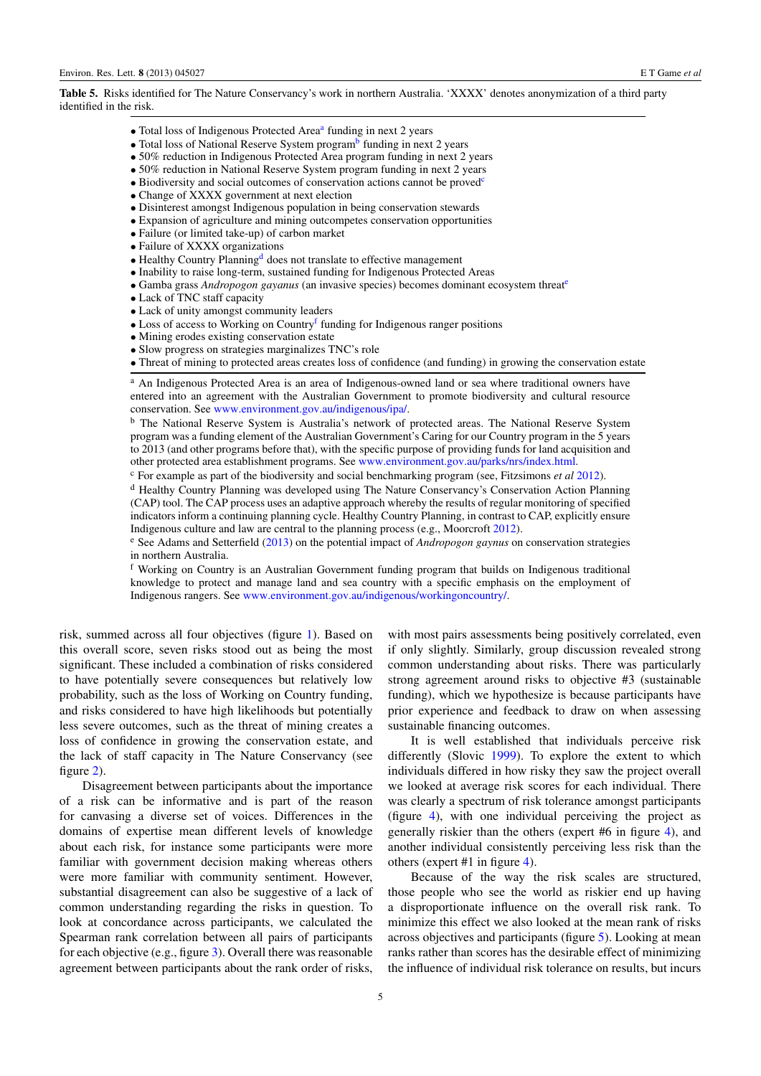<span id="page-6-0"></span>Table 5. Risks identified for The Nature Conservancy's work in northern Australia. 'XXXX' denotes anonymization of a third party identified in the risk.

- Tot[a](#page-6-1)l loss of Indigenous Protected Area<sup>a</sup> funding in next 2 years
- Total loss of National Reserve System program<sup>[b](#page-6-2)</sup> funding in next 2 years
- 50% reduction in Indigenous Protected Area program funding in next 2 years
- 50% reduction in National Reserve System program funding in next 2 years
- Biodiversity and social outcomes of conservation actions cannot be proved[c](#page-6-3)
- Change of XXXX government at next election
- Disinterest amongst Indigenous population in being conservation stewards
- Expansion of agriculture and mining outcompetes conservation opportunities
- Failure (or limited take-up) of carbon market
- Failure of XXXX organizations
- Healthy Country Planning<sup>[d](#page-6-4)</sup> does not translate to effective management
- Inability to raise long-term, sustained funding for Indigenous Protected Areas
- Gamba grass *Andropogon gayanus* (an invasive species) becomes dominant ecosystem threat[e](#page-6-5)
- Lack of TNC staff capacity
- Lack of unity amongst community leaders
- Loss of access to Working on Country[f](#page-6-6) funding for Indigenous ranger positions
- Mining erodes existing conservation estate
- Slow progress on strategies marginalizes TNC's role
- Threat of mining to protected areas creates loss of confidence (and funding) in growing the conservation estate

<span id="page-6-1"></span><sup>a</sup> An Indigenous Protected Area is an area of Indigenous-owned land or sea where traditional owners have entered into an agreement with the Australian Government to promote biodiversity and cultural resource conservation. See [www.environment.gov.au/indigenous/ipa/.](http://www.environment.gov.au/indigenous/ipa/)

<span id="page-6-2"></span><sup>b</sup> The National Reserve System is Australia's network of protected areas. The National Reserve System program was a funding element of the Australian Government's Caring for our Country program in the 5 years to 2013 (and other programs before that), with the specific purpose of providing funds for land acquisition and other protected area establishment programs. See [www.environment.gov.au/parks/nrs/index.html.](http://www.environment.gov.au/parks/nrs/index.html)

<span id="page-6-3"></span><sup>c</sup> For example as part of the biodiversity and social benchmarking program (see, Fitzsimons *et al* [2012\)](#page-12-27).

<span id="page-6-4"></span><sup>d</sup> Healthy Country Planning was developed using The Nature Conservancy's Conservation Action Planning (CAP) tool. The CAP process uses an adaptive approach whereby the results of regular monitoring of specified indicators inform a continuing planning cycle. Healthy Country Planning, in contrast to CAP, explicitly ensure Indigenous culture and law are central to the planning process (e.g., Moorcroft [2012\)](#page-12-28).

<span id="page-6-5"></span><sup>e</sup> See Adams and Setterfield [\(2013\)](#page-12-29) on the potential impact of *Andropogon gaynus* on conservation strategies in northern Australia.

<span id="page-6-6"></span><sup>f</sup> Working on Country is an Australian Government funding program that builds on Indigenous traditional knowledge to protect and manage land and sea country with a specific emphasis on the employment of Indigenous rangers. See [www.environment.gov.au/indigenous/workingoncountry/.](http://www.environment.gov.au/indigenous/workingoncountry/)

risk, summed across all four objectives (figure [1\)](#page-7-0). Based on this overall score, seven risks stood out as being the most significant. These included a combination of risks considered to have potentially severe consequences but relatively low probability, such as the loss of Working on Country funding, and risks considered to have high likelihoods but potentially less severe outcomes, such as the threat of mining creates a loss of confidence in growing the conservation estate, and the lack of staff capacity in The Nature Conservancy (see figure [2\)](#page-7-1).

Disagreement between participants about the importance of a risk can be informative and is part of the reason for canvasing a diverse set of voices. Differences in the domains of expertise mean different levels of knowledge about each risk, for instance some participants were more familiar with government decision making whereas others were more familiar with community sentiment. However, substantial disagreement can also be suggestive of a lack of common understanding regarding the risks in question. To look at concordance across participants, we calculated the Spearman rank correlation between all pairs of participants for each objective (e.g., figure [3\)](#page-8-0). Overall there was reasonable agreement between participants about the rank order of risks,

with most pairs assessments being positively correlated, even if only slightly. Similarly, group discussion revealed strong common understanding about risks. There was particularly strong agreement around risks to objective #3 (sustainable funding), which we hypothesize is because participants have prior experience and feedback to draw on when assessing sustainable financing outcomes.

It is well established that individuals perceive risk differently (Slovic [1999\)](#page-12-30). To explore the extent to which individuals differed in how risky they saw the project overall we looked at average risk scores for each individual. There was clearly a spectrum of risk tolerance amongst participants (figure [4\)](#page-8-1), with one individual perceiving the project as generally riskier than the others (expert #6 in figure [4\)](#page-8-1), and another individual consistently perceiving less risk than the others (expert #1 in figure [4\)](#page-8-1).

Because of the way the risk scales are structured, those people who see the world as riskier end up having a disproportionate influence on the overall risk rank. To minimize this effect we also looked at the mean rank of risks across objectives and participants (figure [5\)](#page-9-0). Looking at mean ranks rather than scores has the desirable effect of minimizing the influence of individual risk tolerance on results, but incurs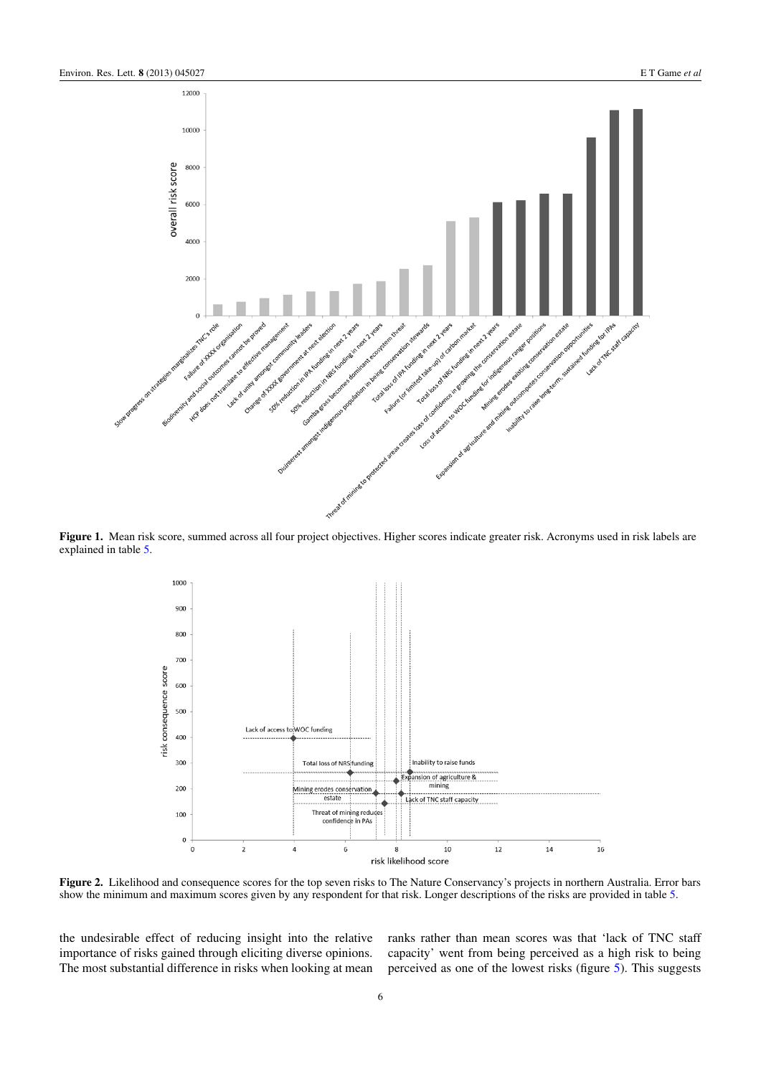<span id="page-7-0"></span>

<span id="page-7-1"></span>Figure 1. Mean risk score, summed across all four project objectives. Higher scores indicate greater risk. Acronyms used in risk labels are explained in table [5.](#page-6-0)



Figure 2. Likelihood and consequence scores for the top seven risks to The Nature Conservancy's projects in northern Australia. Error bars show the minimum and maximum scores given by any respondent for that risk. Longer descriptions of the risks are provided in table [5.](#page-6-0)

the undesirable effect of reducing insight into the relative importance of risks gained through eliciting diverse opinions. The most substantial difference in risks when looking at mean ranks rather than mean scores was that 'lack of TNC staff capacity' went from being perceived as a high risk to being perceived as one of the lowest risks (figure [5\)](#page-9-0). This suggests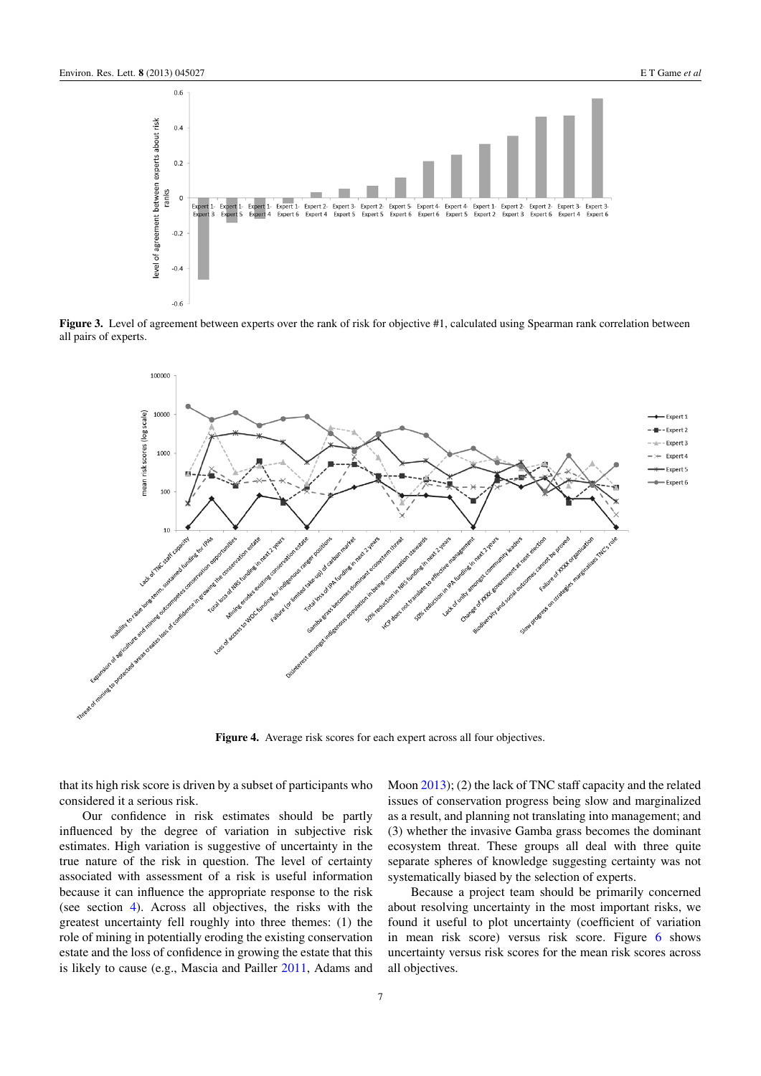<span id="page-8-0"></span>

Figure 3. Level of agreement between experts over the rank of risk for objective #1, calculated using Spearman rank correlation between all pairs of experts.

<span id="page-8-1"></span>

Figure 4. Average risk scores for each expert across all four objectives.

that its high risk score is driven by a subset of participants who considered it a serious risk.

Our confidence in risk estimates should be partly influenced by the degree of variation in subjective risk estimates. High variation is suggestive of uncertainty in the true nature of the risk in question. The level of certainty associated with assessment of a risk is useful information because it can influence the appropriate response to the risk (see section [4\)](#page-8-2). Across all objectives, the risks with the greatest uncertainty fell roughly into three themes: (1) the role of mining in potentially eroding the existing conservation estate and the loss of confidence in growing the estate that this is likely to cause (e.g., Mascia and Pailler [2011,](#page-12-31) Adams and Moon [2013\)](#page-12-32); (2) the lack of TNC staff capacity and the related issues of conservation progress being slow and marginalized as a result, and planning not translating into management; and (3) whether the invasive Gamba grass becomes the dominant ecosystem threat. These groups all deal with three quite separate spheres of knowledge suggesting certainty was not systematically biased by the selection of experts.

<span id="page-8-2"></span>Because a project team should be primarily concerned about resolving uncertainty in the most important risks, we found it useful to plot uncertainty (coefficient of variation in mean risk score) versus risk score. Figure [6](#page-9-1) shows uncertainty versus risk scores for the mean risk scores across all objectives.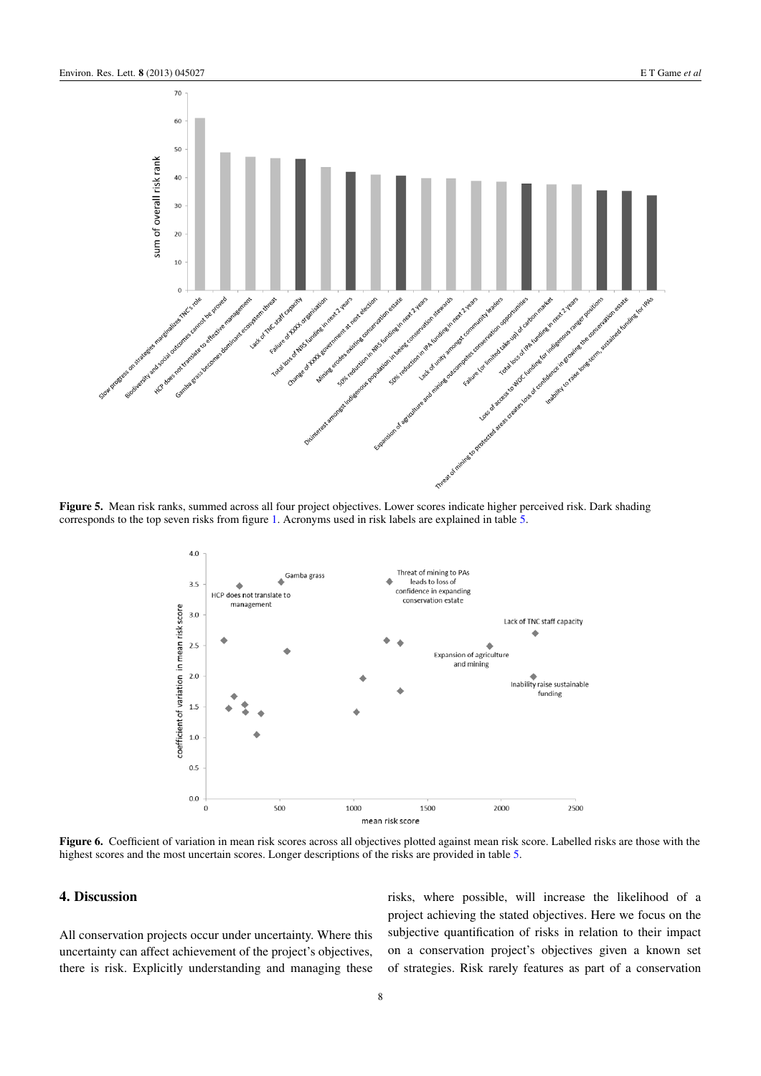<span id="page-9-0"></span>

<span id="page-9-1"></span>Figure 5. Mean risk ranks, summed across all four project objectives. Lower scores indicate higher perceived risk. Dark shading corresponds to the top seven risks from figure [1.](#page-7-0) Acronyms used in risk labels are explained in table [5.](#page-6-0)



Figure 6. Coefficient of variation in mean risk scores across all objectives plotted against mean risk score. Labelled risks are those with the highest scores and the most uncertain scores. Longer descriptions of the risks are provided in table [5.](#page-6-0)

## 4. Discussion

All conservation projects occur under uncertainty. Where this uncertainty can affect achievement of the project's objectives, there is risk. Explicitly understanding and managing these risks, where possible, will increase the likelihood of a project achieving the stated objectives. Here we focus on the subjective quantification of risks in relation to their impact on a conservation project's objectives given a known set of strategies. Risk rarely features as part of a conservation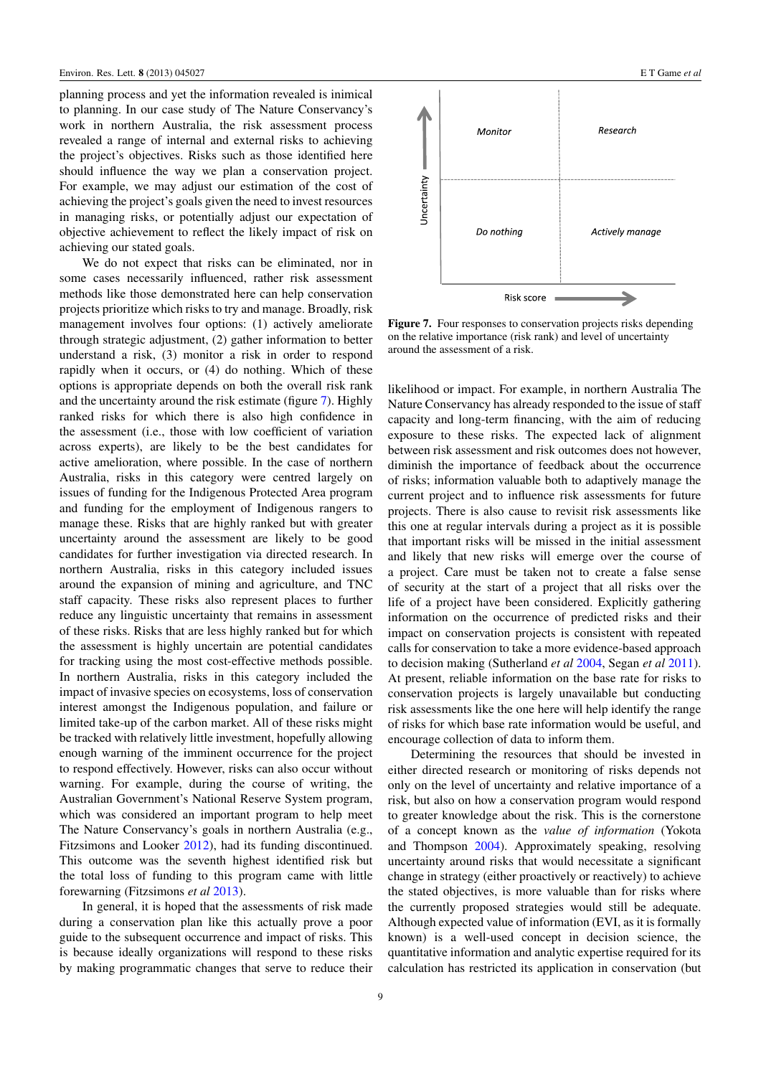planning process and yet the information revealed is inimical to planning. In our case study of The Nature Conservancy's work in northern Australia, the risk assessment process revealed a range of internal and external risks to achieving the project's objectives. Risks such as those identified here should influence the way we plan a conservation project. For example, we may adjust our estimation of the cost of achieving the project's goals given the need to invest resources in managing risks, or potentially adjust our expectation of objective achievement to reflect the likely impact of risk on achieving our stated goals.

We do not expect that risks can be eliminated, nor in some cases necessarily influenced, rather risk assessment methods like those demonstrated here can help conservation projects prioritize which risks to try and manage. Broadly, risk management involves four options: (1) actively ameliorate through strategic adjustment, (2) gather information to better understand a risk, (3) monitor a risk in order to respond rapidly when it occurs, or (4) do nothing. Which of these options is appropriate depends on both the overall risk rank and the uncertainty around the risk estimate (figure [7\)](#page-10-0). Highly ranked risks for which there is also high confidence in the assessment (i.e., those with low coefficient of variation across experts), are likely to be the best candidates for active amelioration, where possible. In the case of northern Australia, risks in this category were centred largely on issues of funding for the Indigenous Protected Area program and funding for the employment of Indigenous rangers to manage these. Risks that are highly ranked but with greater uncertainty around the assessment are likely to be good candidates for further investigation via directed research. In northern Australia, risks in this category included issues around the expansion of mining and agriculture, and TNC staff capacity. These risks also represent places to further reduce any linguistic uncertainty that remains in assessment of these risks. Risks that are less highly ranked but for which the assessment is highly uncertain are potential candidates for tracking using the most cost-effective methods possible. In northern Australia, risks in this category included the impact of invasive species on ecosystems, loss of conservation interest amongst the Indigenous population, and failure or limited take-up of the carbon market. All of these risks might be tracked with relatively little investment, hopefully allowing enough warning of the imminent occurrence for the project to respond effectively. However, risks can also occur without warning. For example, during the course of writing, the Australian Government's National Reserve System program, which was considered an important program to help meet The Nature Conservancy's goals in northern Australia (e.g., Fitzsimons and Looker [2012\)](#page-12-33), had its funding discontinued. This outcome was the seventh highest identified risk but the total loss of funding to this program came with little forewarning (Fitzsimons *et al* [2013\)](#page-12-34).

In general, it is hoped that the assessments of risk made during a conservation plan like this actually prove a poor guide to the subsequent occurrence and impact of risks. This is because ideally organizations will respond to these risks by making programmatic changes that serve to reduce their

<span id="page-10-0"></span>

Figure 7. Four responses to conservation projects risks depending on the relative importance (risk rank) and level of uncertainty around the assessment of a risk.

likelihood or impact. For example, in northern Australia The Nature Conservancy has already responded to the issue of staff capacity and long-term financing, with the aim of reducing exposure to these risks. The expected lack of alignment between risk assessment and risk outcomes does not however, diminish the importance of feedback about the occurrence of risks; information valuable both to adaptively manage the current project and to influence risk assessments for future projects. There is also cause to revisit risk assessments like this one at regular intervals during a project as it is possible that important risks will be missed in the initial assessment and likely that new risks will emerge over the course of a project. Care must be taken not to create a false sense of security at the start of a project that all risks over the life of a project have been considered. Explicitly gathering information on the occurrence of predicted risks and their impact on conservation projects is consistent with repeated calls for conservation to take a more evidence-based approach to decision making (Sutherland *et al* [2004,](#page-13-4) Segan *et al* [2011\)](#page-12-35). At present, reliable information on the base rate for risks to conservation projects is largely unavailable but conducting risk assessments like the one here will help identify the range of risks for which base rate information would be useful, and encourage collection of data to inform them.

Determining the resources that should be invested in either directed research or monitoring of risks depends not only on the level of uncertainty and relative importance of a risk, but also on how a conservation program would respond to greater knowledge about the risk. This is the cornerstone of a concept known as the *value of information* (Yokota and Thompson [2004\)](#page-13-5). Approximately speaking, resolving uncertainty around risks that would necessitate a significant change in strategy (either proactively or reactively) to achieve the stated objectives, is more valuable than for risks where the currently proposed strategies would still be adequate. Although expected value of information (EVI, as it is formally known) is a well-used concept in decision science, the quantitative information and analytic expertise required for its calculation has restricted its application in conservation (but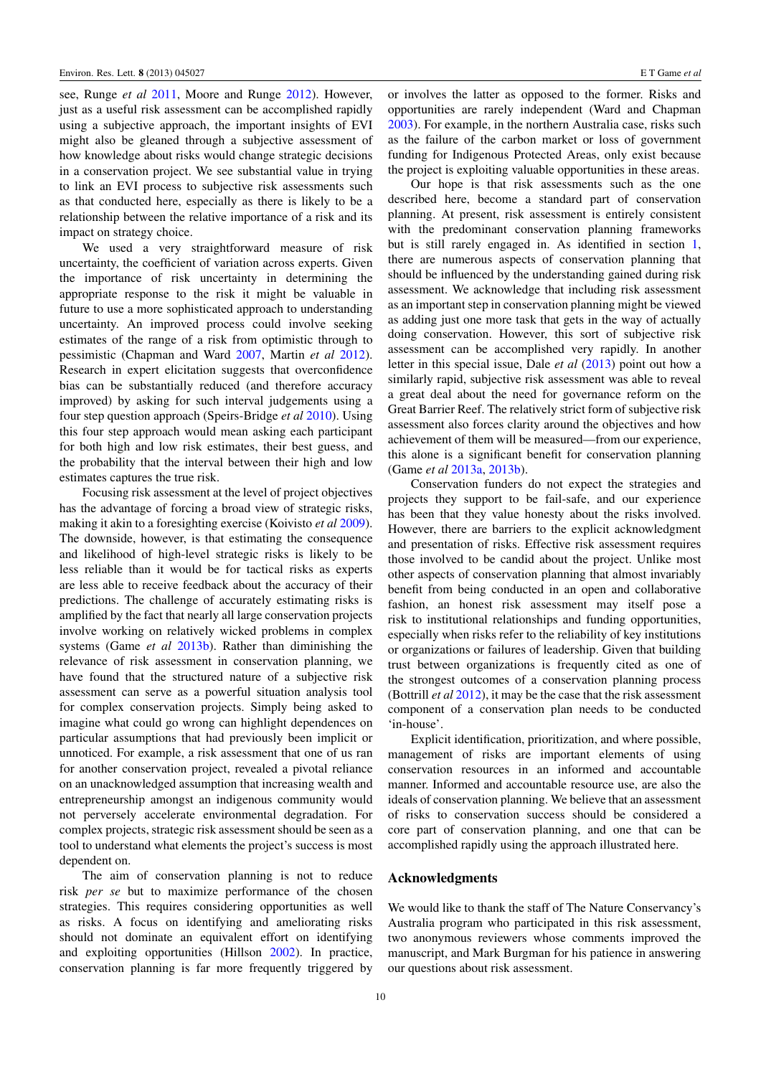see, Runge *et al* [2011,](#page-12-36) Moore and Runge [2012\)](#page-12-37). However, just as a useful risk assessment can be accomplished rapidly using a subjective approach, the important insights of EVI might also be gleaned through a subjective assessment of how knowledge about risks would change strategic decisions in a conservation project. We see substantial value in trying to link an EVI process to subjective risk assessments such as that conducted here, especially as there is likely to be a relationship between the relative importance of a risk and its impact on strategy choice.

We used a very straightforward measure of risk uncertainty, the coefficient of variation across experts. Given the importance of risk uncertainty in determining the appropriate response to the risk it might be valuable in future to use a more sophisticated approach to understanding uncertainty. An improved process could involve seeking estimates of the range of a risk from optimistic through to pessimistic (Chapman and Ward [2007,](#page-12-0) Martin *et al* [2012\)](#page-12-38). Research in expert elicitation suggests that overconfidence bias can be substantially reduced (and therefore accuracy improved) by asking for such interval judgements using a four step question approach (Speirs-Bridge *et al* [2010\)](#page-12-39). Using this four step approach would mean asking each participant for both high and low risk estimates, their best guess, and the probability that the interval between their high and low estimates captures the true risk.

Focusing risk assessment at the level of project objectives has the advantage of forcing a broad view of strategic risks, making it akin to a foresighting exercise (Koivisto *et al* [2009\)](#page-12-40). The downside, however, is that estimating the consequence and likelihood of high-level strategic risks is likely to be less reliable than it would be for tactical risks as experts are less able to receive feedback about the accuracy of their predictions. The challenge of accurately estimating risks is amplified by the fact that nearly all large conservation projects involve working on relatively wicked problems in complex systems (Game *et al* [2013b\)](#page-12-19). Rather than diminishing the relevance of risk assessment in conservation planning, we have found that the structured nature of a subjective risk assessment can serve as a powerful situation analysis tool for complex conservation projects. Simply being asked to imagine what could go wrong can highlight dependences on particular assumptions that had previously been implicit or unnoticed. For example, a risk assessment that one of us ran for another conservation project, revealed a pivotal reliance on an unacknowledged assumption that increasing wealth and entrepreneurship amongst an indigenous community would not perversely accelerate environmental degradation. For complex projects, strategic risk assessment should be seen as a tool to understand what elements the project's success is most dependent on.

The aim of conservation planning is not to reduce risk *per se* but to maximize performance of the chosen strategies. This requires considering opportunities as well as risks. A focus on identifying and ameliorating risks should not dominate an equivalent effort on identifying and exploiting opportunities (Hillson [2002\)](#page-12-1). In practice, conservation planning is far more frequently triggered by

or involves the latter as opposed to the former. Risks and opportunities are rarely independent (Ward and Chapman [2003\)](#page-13-0). For example, in the northern Australia case, risks such as the failure of the carbon market or loss of government funding for Indigenous Protected Areas, only exist because the project is exploiting valuable opportunities in these areas.

Our hope is that risk assessments such as the one described here, become a standard part of conservation planning. At present, risk assessment is entirely consistent with the predominant conservation planning frameworks but is still rarely engaged in. As identified in section [1,](#page-2-6) there are numerous aspects of conservation planning that should be influenced by the understanding gained during risk assessment. We acknowledge that including risk assessment as an important step in conservation planning might be viewed as adding just one more task that gets in the way of actually doing conservation. However, this sort of subjective risk assessment can be accomplished very rapidly. In another letter in this special issue, Dale *et al* [\(2013\)](#page-12-10) point out how a similarly rapid, subjective risk assessment was able to reveal a great deal about the need for governance reform on the Great Barrier Reef. The relatively strict form of subjective risk assessment also forces clarity around the objectives and how achievement of them will be measured—from our experience, this alone is a significant benefit for conservation planning (Game *et al* [2013a,](#page-12-20) [2013b\)](#page-12-19).

Conservation funders do not expect the strategies and projects they support to be fail-safe, and our experience has been that they value honesty about the risks involved. However, there are barriers to the explicit acknowledgment and presentation of risks. Effective risk assessment requires those involved to be candid about the project. Unlike most other aspects of conservation planning that almost invariably benefit from being conducted in an open and collaborative fashion, an honest risk assessment may itself pose a risk to institutional relationships and funding opportunities, especially when risks refer to the reliability of key institutions or organizations or failures of leadership. Given that building trust between organizations is frequently cited as one of the strongest outcomes of a conservation planning process (Bottrill *et al* [2012\)](#page-12-41), it may be the case that the risk assessment component of a conservation plan needs to be conducted 'in-house'.

Explicit identification, prioritization, and where possible, management of risks are important elements of using conservation resources in an informed and accountable manner. Informed and accountable resource use, are also the ideals of conservation planning. We believe that an assessment of risks to conservation success should be considered a core part of conservation planning, and one that can be accomplished rapidly using the approach illustrated here.

#### Acknowledgments

We would like to thank the staff of The Nature Conservancy's Australia program who participated in this risk assessment, two anonymous reviewers whose comments improved the manuscript, and Mark Burgman for his patience in answering our questions about risk assessment.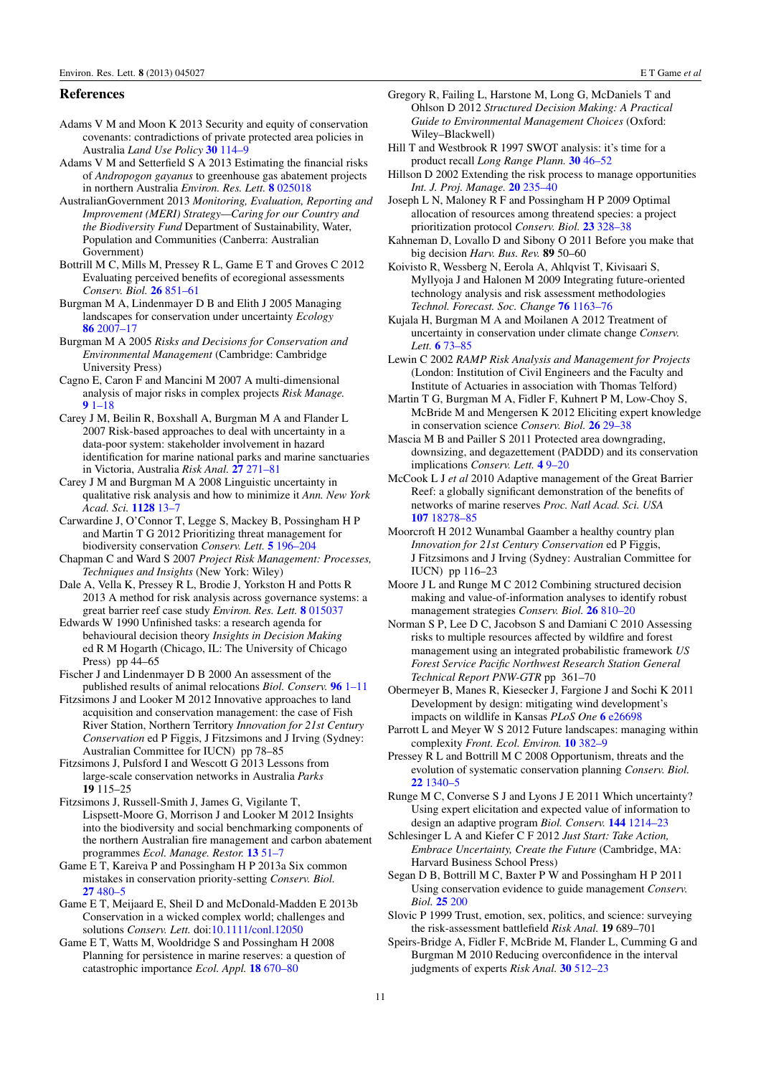#### References

- <span id="page-12-32"></span>Adams V M and Moon K 2013 Security and equity of conservation covenants: contradictions of private protected area policies in Australia *Land Use Policy* [30](http://dx.doi.org/10.1016/j.landusepol.2012.03.009) [114–9](http://dx.doi.org/10.1016/j.landusepol.2012.03.009)
- <span id="page-12-29"></span>Adams V M and Setterfield S A 2013 Estimating the financial risks of *Andropogon gayanus* to greenhouse gas abatement projects in northern Australia *Environ. Res. Lett.* [8](http://dx.doi.org/10.1088/1748-9326/8/2/025018) [025018](http://dx.doi.org/10.1088/1748-9326/8/2/025018)
- <span id="page-12-16"></span>AustralianGovernment 2013 *Monitoring, Evaluation, Reporting and Improvement (MERI) Strategy—Caring for our Country and the Biodiversity Fund* Department of Sustainability, Water, Population and Communities (Canberra: Australian Government)
- <span id="page-12-41"></span>Bottrill M C, Mills M, Pressey R L, Game E T and Groves C 2012 Evaluating perceived benefits of ecoregional assessments *Conserv. Biol.* [26](http://dx.doi.org/10.1111/j.1523-1739.2012.01898.x) [851–61](http://dx.doi.org/10.1111/j.1523-1739.2012.01898.x)
- <span id="page-12-3"></span>Burgman M A, Lindenmayer D B and Elith J 2005 Managing landscapes for conservation under uncertainty *Ecology* [86](http://dx.doi.org/10.1890/04-0906) [2007–17](http://dx.doi.org/10.1890/04-0906)
- <span id="page-12-7"></span>Burgman M A 2005 *Risks and Decisions for Conservation and Environmental Management* (Cambridge: Cambridge University Press)
- <span id="page-12-18"></span>Cagno E, Caron F and Mancini M 2007 A multi-dimensional analysis of major risks in complex projects *Risk Manage.*  $91 - 18$  $91 - 18$
- <span id="page-12-8"></span>Carey J M, Beilin R, Boxshall A, Burgman M A and Flander L 2007 Risk-based approaches to deal with uncertainty in a data-poor system: stakeholder involvement in hazard identification for marine national parks and marine sanctuaries in Victoria, Australia *Risk Anal.* [27](http://dx.doi.org/10.1111/j.1539-6924.2006.00875.x) [271–81](http://dx.doi.org/10.1111/j.1539-6924.2006.00875.x)
- <span id="page-12-26"></span>Carey J M and Burgman M A 2008 Linguistic uncertainty in qualitative risk analysis and how to minimize it *Ann. New York Acad. Sci.* [1128](http://dx.doi.org/10.1196/annals.1399.003) [13–7](http://dx.doi.org/10.1196/annals.1399.003)
- <span id="page-12-13"></span>Carwardine J, O'Connor T, Legge S, Mackey B, Possingham H P and Martin T G 2012 Prioritizing threat management for biodiversity conservation *Conserv. Lett.* [5](http://dx.doi.org/10.1111/j.1755-263X.2012.00228.x) [196–204](http://dx.doi.org/10.1111/j.1755-263X.2012.00228.x)
- <span id="page-12-0"></span>Chapman C and Ward S 2007 *Project Risk Management: Processes, Techniques and Insights* (New York: Wiley)
- <span id="page-12-10"></span>Dale A, Vella K, Pressey R L, Brodie J, Yorkston H and Potts R 2013 A method for risk analysis across governance systems: a great barrier reef case study *Environ. Res. Lett.* [8](http://dx.doi.org/10.1088/1748-9326/8/1/015037) [015037](http://dx.doi.org/10.1088/1748-9326/8/1/015037)
- <span id="page-12-23"></span>Edwards W 1990 Unfinished tasks: a research agenda for behavioural decision theory *Insights in Decision Making* ed R M Hogarth (Chicago, IL: The University of Chicago Press) pp 44–65
- <span id="page-12-2"></span>Fischer J and Lindenmayer D B 2000 An assessment of the published results of animal relocations *Biol. Conserv.* [96](http://dx.doi.org/10.1016/S0006-3207(00)00048-3) [1–11](http://dx.doi.org/10.1016/S0006-3207(00)00048-3)
- <span id="page-12-33"></span>Fitzsimons J and Looker M 2012 Innovative approaches to land acquisition and conservation management: the case of Fish River Station, Northern Territory *Innovation for 21st Century Conservation* ed P Figgis, J Fitzsimons and J Irving (Sydney: Australian Committee for IUCN) pp 78–85
- <span id="page-12-34"></span>Fitzsimons J, Pulsford I and Wescott G 2013 Lessons from large-scale conservation networks in Australia *Parks* 19 115–25
- <span id="page-12-27"></span>Fitzsimons J, Russell-Smith J, James G, Vigilante T, Lispsett-Moore G, Morrison J and Looker M 2012 Insights into the biodiversity and social benchmarking components of the northern Australian fire management and carbon abatement programmes *Ecol. Manage. Restor.* [13](http://dx.doi.org/10.1111/j.1442-8903.2011.00624.x) [51–7](http://dx.doi.org/10.1111/j.1442-8903.2011.00624.x)
- <span id="page-12-20"></span>Game E T, Kareiva P and Possingham H P 2013a Six common mistakes in conservation priority-setting *Conserv. Biol.* [27](http://dx.doi.org/10.1111/cobi.12051) [480–5](http://dx.doi.org/10.1111/cobi.12051)
- <span id="page-12-19"></span>Game E T, Meijaard E, Sheil D and McDonald-Madden E 2013b Conservation in a wicked complex world; challenges and solutions *Conserv. Lett.* doi[:10.1111/conl.12050](http://dx.doi.org/10.1111/conl.12050)
- <span id="page-12-4"></span>Game E T, Watts M, Wooldridge S and Possingham H 2008 Planning for persistence in marine reserves: a question of catastrophic importance *Ecol. Appl.* [18](http://dx.doi.org/10.1890/07-1027.1) [670–80](http://dx.doi.org/10.1890/07-1027.1)
- <span id="page-12-21"></span>Gregory R, Failing L, Harstone M, Long G, McDaniels T and Ohlson D 2012 *Structured Decision Making: A Practical Guide to Environmental Management Choices* (Oxford: Wiley–Blackwell)
- <span id="page-12-17"></span>Hill T and Westbrook R 1997 SWOT analysis: it's time for a product recall *Long Range Plann.* [30](http://dx.doi.org/10.1016/S0024-6301(96)00095-7) [46–52](http://dx.doi.org/10.1016/S0024-6301(96)00095-7)
- <span id="page-12-1"></span>Hillson D 2002 Extending the risk process to manage opportunities *Int. J. Proj. Manage.* [20](http://dx.doi.org/10.1016/S0263-7863(01)00074-6) [235–40](http://dx.doi.org/10.1016/S0263-7863(01)00074-6)
- <span id="page-12-11"></span>Joseph L N, Maloney R F and Possingham H P 2009 Optimal allocation of resources among threatend species: a project prioritization protocol *Conserv. Biol.* [23](http://dx.doi.org/10.1111/j.1523-1739.2008.01124.x) [328–38](http://dx.doi.org/10.1111/j.1523-1739.2008.01124.x)
- <span id="page-12-24"></span>Kahneman D, Lovallo D and Sibony O 2011 Before you make that big decision *Harv. Bus. Rev.* 89 50–60
- <span id="page-12-40"></span>Koivisto R, Wessberg N, Eerola A, Ahlqvist T, Kivisaari S, Myllyoja J and Halonen M 2009 Integrating future-oriented technology analysis and risk assessment methodologies *Technol. Forecast. Soc. Change* [76](http://dx.doi.org/10.1016/j.techfore.2009.07.012) [1163–76](http://dx.doi.org/10.1016/j.techfore.2009.07.012)
- <span id="page-12-14"></span>Kujala H, Burgman M A and Moilanen A 2012 Treatment of uncertainty in conservation under climate change *Conserv. Lett.* [6](http://dx.doi.org/10.1111/j.1755-263X.2012.00299.x) [73–85](http://dx.doi.org/10.1111/j.1755-263X.2012.00299.x)
- <span id="page-12-22"></span>Lewin C 2002 *RAMP Risk Analysis and Management for Projects* (London: Institution of Civil Engineers and the Faculty and Institute of Actuaries in association with Thomas Telford)
- <span id="page-12-38"></span>Martin T G, Burgman M A, Fidler F, Kuhnert P M, Low-Choy S, McBride M and Mengersen K 2012 Eliciting expert knowledge in conservation science *Conserv. Biol.* [26](http://dx.doi.org/10.1111/j.1523-1739.2011.01806.x) [29–38](http://dx.doi.org/10.1111/j.1523-1739.2011.01806.x)
- <span id="page-12-31"></span>Mascia M B and Pailler S 2011 Protected area downgrading, downsizing, and degazettement (PADDD) and its conservation implications *Conserv. Lett.* [4](http://dx.doi.org/10.1111/j.1755-263X.2010.00147.x) [9–20](http://dx.doi.org/10.1111/j.1755-263X.2010.00147.x)
- <span id="page-12-5"></span>McCook L J *et al* 2010 Adaptive management of the Great Barrier Reef: a globally significant demonstration of the benefits of networks of marine reserves *Proc. Natl Acad. Sci. USA* [107](http://dx.doi.org/10.1073/pnas.0909335107) [18278–85](http://dx.doi.org/10.1073/pnas.0909335107)
- <span id="page-12-28"></span>Moorcroft H 2012 Wunambal Gaamber a healthy country plan *Innovation for 21st Century Conservation* ed P Figgis, J Fitzsimons and J Irving (Sydney: Australian Committee for IUCN) pp 116–23
- <span id="page-12-37"></span>Moore J L and Runge M C 2012 Combining structured decision making and value-of-information analyses to identify robust management strategies *Conserv. Biol.* [26](http://dx.doi.org/10.1111/j.1523-1739.2012.01907.x) [810–20](http://dx.doi.org/10.1111/j.1523-1739.2012.01907.x)
- <span id="page-12-9"></span>Norman S P, Lee D C, Jacobson S and Damiani C 2010 Assessing risks to multiple resources affected by wildfire and forest management using an integrated probabilistic framework *US Forest Service Pacific Northwest Research Station General Technical Report PNW-GTR* pp 361–70
- <span id="page-12-12"></span>Obermeyer B, Manes R, Kiesecker J, Fargione J and Sochi K 2011 Development by design: mitigating wind development's impacts on wildlife in Kansas *PLoS One* [6](http://dx.doi.org/10.1371/journal.pone.0026698) [e26698](http://dx.doi.org/10.1371/journal.pone.0026698)
- <span id="page-12-6"></span>Parrott L and Meyer W S 2012 Future landscapes: managing within complexity *Front. Ecol. Environ.* [10](http://dx.doi.org/10.1890/110082) [382–9](http://dx.doi.org/10.1890/110082)
- <span id="page-12-15"></span>Pressey R L and Bottrill M C 2008 Opportunism, threats and the evolution of systematic conservation planning *Conserv. Biol.* [22](http://dx.doi.org/10.1111/j.1523-1739.2008.01032.x) [1340–5](http://dx.doi.org/10.1111/j.1523-1739.2008.01032.x)
- <span id="page-12-36"></span>Runge M C, Converse S J and Lyons J E 2011 Which uncertainty? Using expert elicitation and expected value of information to design an adaptive program *Biol. Conserv.* [144](http://dx.doi.org/10.1016/j.biocon.2010.12.020) [1214–23](http://dx.doi.org/10.1016/j.biocon.2010.12.020)
- <span id="page-12-25"></span>Schlesinger L A and Kiefer C F 2012 *Just Start: Take Action, Embrace Uncertainty, Create the Future* (Cambridge, MA: Harvard Business School Press)
- <span id="page-12-35"></span>Segan D B, Bottrill M C, Baxter P W and Possingham H P 2011 Using conservation evidence to guide management *Conserv. Biol.* [25](http://dx.doi.org/10.1111/j.1523-1739.2010.01582.x) [200](http://dx.doi.org/10.1111/j.1523-1739.2010.01582.x)
- <span id="page-12-30"></span>Slovic P 1999 Trust, emotion, sex, politics, and science: surveying the risk-assessment battlefield *Risk Anal.* 19 689–701
- <span id="page-12-39"></span>Speirs-Bridge A, Fidler F, McBride M, Flander L, Cumming G and Burgman M 2010 Reducing overconfidence in the interval judgments of experts *Risk Anal.* [30](http://dx.doi.org/10.1111/j.1539-6924.2009.01337.x) [512–23](http://dx.doi.org/10.1111/j.1539-6924.2009.01337.x)